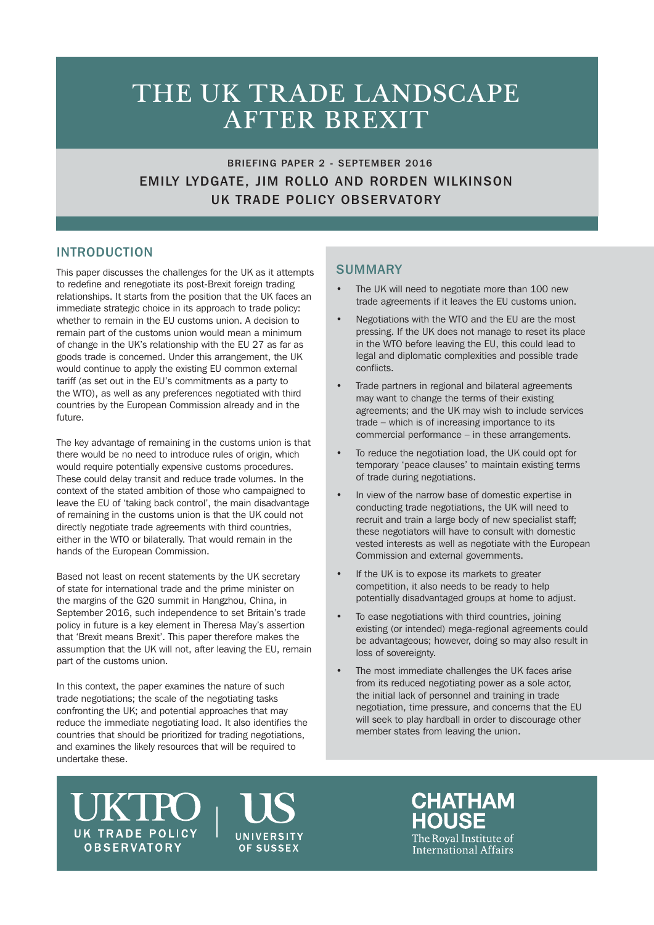# THE UK TRADE LANDSCAPE AFTER BREXIT

 BRIEFING PAPER 2 - SEPTEMBER 2016 EMILY LYDGATE, JIM ROLLO AND RORDEN WILKINSON UK TRADE POLICY OBSERVATORY

## INTRODUCTION

This paper discusses the challenges for the UK as it attempts to redefine and renegotiate its post-Brexit foreign trading relationships. It starts from the position that the UK faces an immediate strategic choice in its approach to trade policy: whether to remain in the EU customs union. A decision to remain part of the customs union would mean a minimum of change in the UK's relationship with the EU 27 as far as goods trade is concerned. Under this arrangement, the UK would continue to apply the existing EU common external tariff (as set out in the EU's commitments as a party to the WTO), as well as any preferences negotiated with third countries by the European Commission already and in the future.

The key advantage of remaining in the customs union is that there would be no need to introduce rules of origin, which would require potentially expensive customs procedures. These could delay transit and reduce trade volumes. In the context of the stated ambition of those who campaigned to leave the EU of 'taking back control', the main disadvantage of remaining in the customs union is that the UK could not directly negotiate trade agreements with third countries, either in the WTO or bilaterally. That would remain in the hands of the European Commission.

Based not least on recent statements by the UK secretary of state for international trade and the prime minister on the margins of the G20 summit in Hangzhou, China, in September 2016, such independence to set Britain's trade policy in future is a key element in Theresa May's assertion that 'Brexit means Brexit'. This paper therefore makes the assumption that the UK will not, after leaving the EU, remain part of the customs union.

In this context, the paper examines the nature of such trade negotiations; the scale of the negotiating tasks confronting the UK; and potential approaches that may reduce the immediate negotiating load. It also identifies the countries that should be prioritized for trading negotiations, and examines the likely resources that will be required to undertake these.

## **SUMMARY**

- The UK will need to negotiate more than 100 new trade agreements if it leaves the EU customs union.
- Negotiations with the WTO and the EU are the most pressing. If the UK does not manage to reset its place in the WTO before leaving the EU, this could lead to legal and diplomatic complexities and possible trade conflicts.
- Trade partners in regional and bilateral agreements may want to change the terms of their existing agreements; and the UK may wish to include services trade – which is of increasing importance to its commercial performance – in these arrangements.
- To reduce the negotiation load, the UK could opt for temporary 'peace clauses' to maintain existing terms of trade during negotiations.
- In view of the narrow base of domestic expertise in conducting trade negotiations, the UK will need to recruit and train a large body of new specialist staff; these negotiators will have to consult with domestic vested interests as well as negotiate with the European Commission and external governments.
- If the UK is to expose its markets to greater competition, it also needs to be ready to help potentially disadvantaged groups at home to adjust.
- To ease negotiations with third countries, joining existing (or intended) mega-regional agreements could be advantageous; however, doing so may also result in loss of sovereignty.
- The most immediate challenges the UK faces arise from its reduced negotiating power as a sole actor, the initial lack of personnel and training in trade negotiation, time pressure, and concerns that the EU will seek to play hardball in order to discourage other member states from leaving the union.

**UK TRADE POLICY OBSERVATORY** 



**CHATHAM** HOUSE The Roval Institute of International Affairs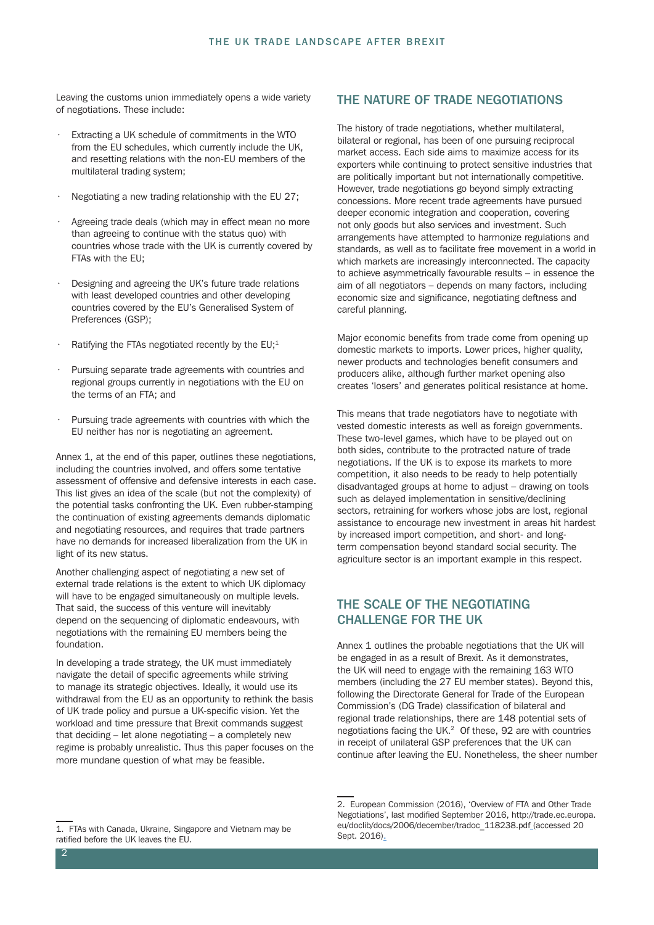Leaving the customs union immediately opens a wide variety of negotiations. These include:

- Extracting a UK schedule of commitments in the WTO from the EU schedules, which currently include the UK, and resetting relations with the non-EU members of the multilateral trading system;
- Negotiating a new trading relationship with the EU 27;
- Agreeing trade deals (which may in effect mean no more than agreeing to continue with the status quo) with countries whose trade with the UK is currently covered by FTAs with the EU;
- Designing and agreeing the UK's future trade relations with least developed countries and other developing countries covered by the EU's Generalised System of Preferences (GSP);
- Ratifying the FTAs negotiated recently by the  $EU;^1$
- Pursuing separate trade agreements with countries and regional groups currently in negotiations with the EU on the terms of an FTA; and
- Pursuing trade agreements with countries with which the EU neither has nor is negotiating an agreement.

Annex 1, at the end of this paper, outlines these negotiations, including the countries involved, and offers some tentative assessment of offensive and defensive interests in each case. This list gives an idea of the scale (but not the complexity) of the potential tasks confronting the UK. Even rubber-stamping the continuation of existing agreements demands diplomatic and negotiating resources, and requires that trade partners have no demands for increased liberalization from the UK in light of its new status.

Another challenging aspect of negotiating a new set of external trade relations is the extent to which UK diplomacy will have to be engaged simultaneously on multiple levels. That said, the success of this venture will inevitably depend on the sequencing of diplomatic endeavours, with negotiations with the remaining EU members being the foundation.

In developing a trade strategy, the UK must immediately navigate the detail of specific agreements while striving to manage its strategic objectives. Ideally, it would use its withdrawal from the EU as an opportunity to rethink the basis of UK trade policy and pursue a UK-specific vision. Yet the workload and time pressure that Brexit commands suggest that deciding – let alone negotiating – a completely new regime is probably unrealistic. Thus this paper focuses on the more mundane question of what may be feasible.

#### THE NATURE OF TRADE NEGOTIATIONS

The history of trade negotiations, whether multilateral, bilateral or regional, has been of one pursuing reciprocal market access. Each side aims to maximize access for its exporters while continuing to protect sensitive industries that are politically important but not internationally competitive. However, trade negotiations go beyond simply extracting concessions. More recent trade agreements have pursued deeper economic integration and cooperation, covering not only goods but also services and investment. Such arrangements have attempted to harmonize regulations and standards, as well as to facilitate free movement in a world in which markets are increasingly interconnected. The capacity to achieve asymmetrically favourable results – in essence the aim of all negotiators – depends on many factors, including economic size and significance, negotiating deftness and careful planning.

Major economic benefits from trade come from opening up domestic markets to imports. Lower prices, higher quality, newer products and technologies benefit consumers and producers alike, although further market opening also creates 'losers' and generates political resistance at home.

This means that trade negotiators have to negotiate with vested domestic interests as well as foreign governments. These two-level games, which have to be played out on both sides, contribute to the protracted nature of trade negotiations. If the UK is to expose its markets to more competition, it also needs to be ready to help potentially disadvantaged groups at home to adjust – drawing on tools such as delayed implementation in sensitive/declining sectors, retraining for workers whose jobs are lost, regional assistance to encourage new investment in areas hit hardest by increased import competition, and short- and longterm compensation beyond standard social security. The agriculture sector is an important example in this respect.

## THE SCALE OF THE NEGOTIATING CHALLENGE FOR THE UK

Annex 1 outlines the probable negotiations that the UK will be engaged in as a result of Brexit. As it demonstrates, the UK will need to engage with the remaining 163 WTO members (including the 27 EU member states). Beyond this, following the Directorate General for Trade of the European Commission's (DG Trade) classification of bilateral and regional trade relationships, there are 148 potential sets of negotiations facing the UK.<sup>2</sup> Of these, 92 are with countries in receipt of unilateral GSP preferences that the UK can continue after leaving the EU. Nonetheless, the sheer number

<sup>2.</sup> European Commission (2016), 'Overview of FTA and Other Trade Negotiations', last modified September 2016, http://trade.ec.europa. eu/doclib/docs/2006/december/tradoc\_118238.pdf (accessed 20 Sept. 2016).

<sup>1.</sup> FTAs with Canada, Ukraine, Singapore and Vietnam may be ratified before the UK leaves the EU.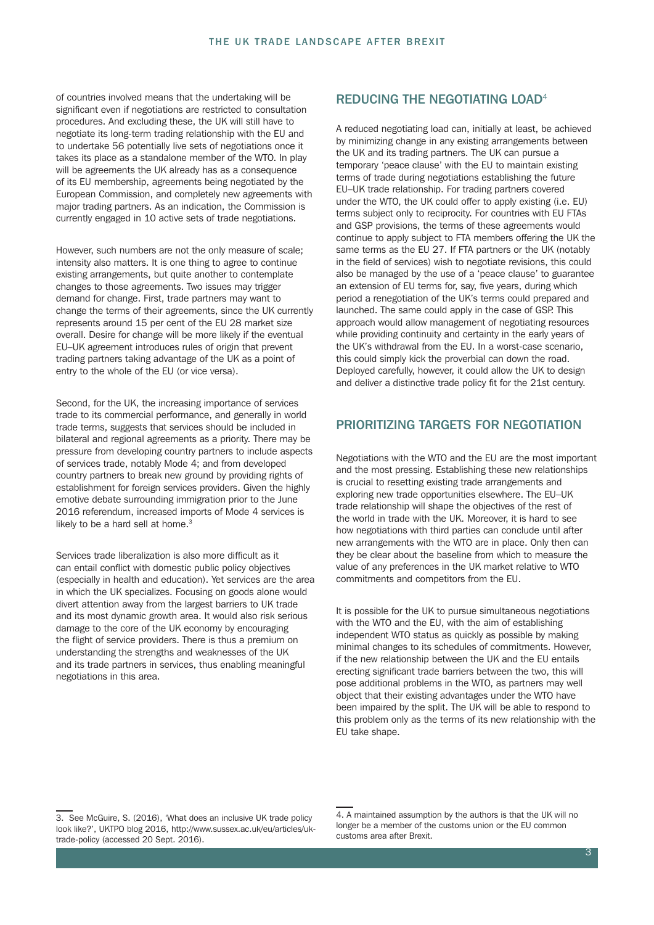of countries involved means that the undertaking will be significant even if negotiations are restricted to consultation procedures. And excluding these, the UK will still have to negotiate its long-term trading relationship with the EU and to undertake 56 potentially live sets of negotiations once it takes its place as a standalone member of the WTO. In play will be agreements the UK already has as a consequence of its EU membership, agreements being negotiated by the European Commission, and completely new agreements with major trading partners. As an indication, the Commission is currently engaged in 10 active sets of trade negotiations.

However, such numbers are not the only measure of scale; intensity also matters. It is one thing to agree to continue existing arrangements, but quite another to contemplate changes to those agreements. Two issues may trigger demand for change. First, trade partners may want to change the terms of their agreements, since the UK currently represents around 15 per cent of the EU 28 market size overall. Desire for change will be more likely if the eventual EU–UK agreement introduces rules of origin that prevent trading partners taking advantage of the UK as a point of entry to the whole of the EU (or vice versa).

Second, for the UK, the increasing importance of services trade to its commercial performance, and generally in world trade terms, suggests that services should be included in bilateral and regional agreements as a priority. There may be pressure from developing country partners to include aspects of services trade, notably Mode 4; and from developed country partners to break new ground by providing rights of establishment for foreign services providers. Given the highly emotive debate surrounding immigration prior to the June 2016 referendum, increased imports of Mode 4 services is likely to be a hard sell at home.<sup>3</sup>

Services trade liberalization is also more difficult as it can entail conflict with domestic public policy objectives (especially in health and education). Yet services are the area in which the UK specializes. Focusing on goods alone would divert attention away from the largest barriers to UK trade and its most dynamic growth area. It would also risk serious damage to the core of the UK economy by encouraging the flight of service providers. There is thus a premium on understanding the strengths and weaknesses of the UK and its trade partners in services, thus enabling meaningful negotiations in this area.

#### REDUCING THE NEGOTIATING LOAD<sup>4</sup>

A reduced negotiating load can, initially at least, be achieved by minimizing change in any existing arrangements between the UK and its trading partners. The UK can pursue a temporary 'peace clause' with the EU to maintain existing terms of trade during negotiations establishing the future EU–UK trade relationship. For trading partners covered under the WTO, the UK could offer to apply existing (i.e. EU) terms subject only to reciprocity. For countries with EU FTAs and GSP provisions, the terms of these agreements would continue to apply subject to FTA members offering the UK the same terms as the EU 27. If FTA partners or the UK (notably in the field of services) wish to negotiate revisions, this could also be managed by the use of a 'peace clause' to guarantee an extension of EU terms for, say, five years, during which period a renegotiation of the UK's terms could prepared and launched. The same could apply in the case of GSP. This approach would allow management of negotiating resources while providing continuity and certainty in the early years of the UK's withdrawal from the EU. In a worst-case scenario, this could simply kick the proverbial can down the road. Deployed carefully, however, it could allow the UK to design and deliver a distinctive trade policy fit for the 21st century.

#### PRIORITIZING TARGETS FOR NEGOTIATION

Negotiations with the WTO and the EU are the most important and the most pressing. Establishing these new relationships is crucial to resetting existing trade arrangements and exploring new trade opportunities elsewhere. The EU–UK trade relationship will shape the objectives of the rest of the world in trade with the UK. Moreover, it is hard to see how negotiations with third parties can conclude until after new arrangements with the WTO are in place. Only then can they be clear about the baseline from which to measure the value of any preferences in the UK market relative to WTO commitments and competitors from the EU.

It is possible for the UK to pursue simultaneous negotiations with the WTO and the EU, with the aim of establishing independent WTO status as quickly as possible by making minimal changes to its schedules of commitments. However, if the new relationship between the UK and the EU entails erecting significant trade barriers between the two, this will pose additional problems in the WTO, as partners may well object that their existing advantages under the WTO have been impaired by the split. The UK will be able to respond to this problem only as the terms of its new relationship with the EU take shape.

<sup>3.</sup> See McGuire, S. (2016), 'What does an inclusive UK trade policy look like?', UKTPO blog 2016, http://www.sussex.ac.uk/eu/articles/uktrade-policy (accessed 20 Sept. 2016).

<sup>4.</sup> A maintained assumption by the authors is that the UK will no longer be a member of the customs union or the EU common customs area after Brexit.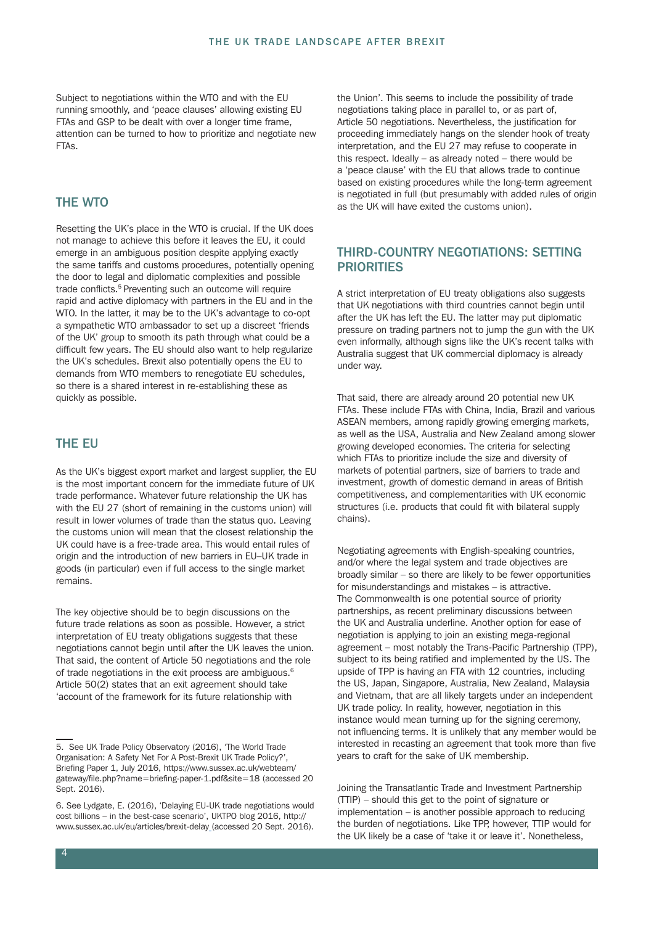Subject to negotiations within the WTO and with the EU running smoothly, and 'peace clauses' allowing existing EU FTAs and GSP to be dealt with over a longer time frame, attention can be turned to how to prioritize and negotiate new FTAs.

#### THE WTO

Resetting the UK's place in the WTO is crucial. If the UK does not manage to achieve this before it leaves the EU, it could emerge in an ambiguous position despite applying exactly the same tariffs and customs procedures, potentially opening the door to legal and diplomatic complexities and possible trade conflicts.<sup>5</sup> Preventing such an outcome will require rapid and active diplomacy with partners in the EU and in the WTO. In the latter, it may be to the UK's advantage to co-opt a sympathetic WTO ambassador to set up a discreet 'friends of the UK' group to smooth its path through what could be a difficult few years. The EU should also want to help regularize the UK's schedules. Brexit also potentially opens the EU to demands from WTO members to renegotiate EU schedules, so there is a shared interest in re-establishing these as quickly as possible.

#### THE EU

As the UK's biggest export market and largest supplier, the EU is the most important concern for the immediate future of UK trade performance. Whatever future relationship the UK has with the EU 27 (short of remaining in the customs union) will result in lower volumes of trade than the status quo. Leaving the customs union will mean that the closest relationship the UK could have is a free-trade area. This would entail rules of origin and the introduction of new barriers in EU–UK trade in goods (in particular) even if full access to the single market remains.

The key objective should be to begin discussions on the future trade relations as soon as possible. However, a strict interpretation of EU treaty obligations suggests that these negotiations cannot begin until after the UK leaves the union. That said, the content of Article 50 negotiations and the role of trade negotiations in the exit process are ambiguous.<sup>6</sup> Article 50(2) states that an exit agreement should take 'account of the framework for its future relationship with

the Union'. This seems to include the possibility of trade negotiations taking place in parallel to, or as part of, Article 50 negotiations. Nevertheless, the justification for proceeding immediately hangs on the slender hook of treaty interpretation, and the EU 27 may refuse to cooperate in this respect. Ideally – as already noted – there would be a 'peace clause' with the EU that allows trade to continue based on existing procedures while the long-term agreement is negotiated in full (but presumably with added rules of origin as the UK will have exited the customs union).

## THIRD-COUNTRY NEGOTIATIONS: SETTING **PRIORITIES**

A strict interpretation of EU treaty obligations also suggests that UK negotiations with third countries cannot begin until after the UK has left the EU. The latter may put diplomatic pressure on trading partners not to jump the gun with the UK even informally, although signs like the UK's recent talks with Australia suggest that UK commercial diplomacy is already under way.

That said, there are already around 20 potential new UK FTAs. These include FTAs with China, India, Brazil and various ASEAN members, among rapidly growing emerging markets, as well as the USA, Australia and New Zealand among slower growing developed economies. The criteria for selecting which FTAs to prioritize include the size and diversity of markets of potential partners, size of barriers to trade and investment, growth of domestic demand in areas of British competitiveness, and complementarities with UK economic structures (i.e. products that could fit with bilateral supply chains).

Negotiating agreements with English-speaking countries, and/or where the legal system and trade objectives are broadly similar – so there are likely to be fewer opportunities for misunderstandings and mistakes – is attractive. The Commonwealth is one potential source of priority partnerships, as recent preliminary discussions between the UK and Australia underline. Another option for ease of negotiation is applying to join an existing mega-regional agreement – most notably the Trans-Pacific Partnership (TPP), subject to its being ratified and implemented by the US. The upside of TPP is having an FTA with 12 countries, including the US, Japan, Singapore, Australia, New Zealand, Malaysia and Vietnam, that are all likely targets under an independent UK trade policy. In reality, however, negotiation in this instance would mean turning up for the signing ceremony, not influencing terms. It is unlikely that any member would be interested in recasting an agreement that took more than five years to craft for the sake of UK membership.

Joining the Transatlantic Trade and Investment Partnership (TTIP) – should this get to the point of signature or implementation – is another possible approach to reducing the burden of negotiations. Like TPP, however, TTIP would for the UK likely be a case of 'take it or leave it'. Nonetheless,

<sup>5.</sup> See UK Trade Policy Observatory (2016), 'The World Trade Organisation: A Safety Net For A Post-Brexit UK Trade Policy?', Briefing Paper 1, July 2016, https://www.sussex.ac.uk/webteam/ gateway/file.php?name=briefing-paper-1.pdf&site=18 (accessed 20 Sept. 2016).

<sup>6.</sup> See Lydgate, E. (2016), 'Delaying EU-UK trade negotiations would cost billions – in the best-case scenario', UKTPO blog 2016, http:// www.sussex.ac.uk/eu/articles/brexit-delay (accessed 20 Sept. 2016).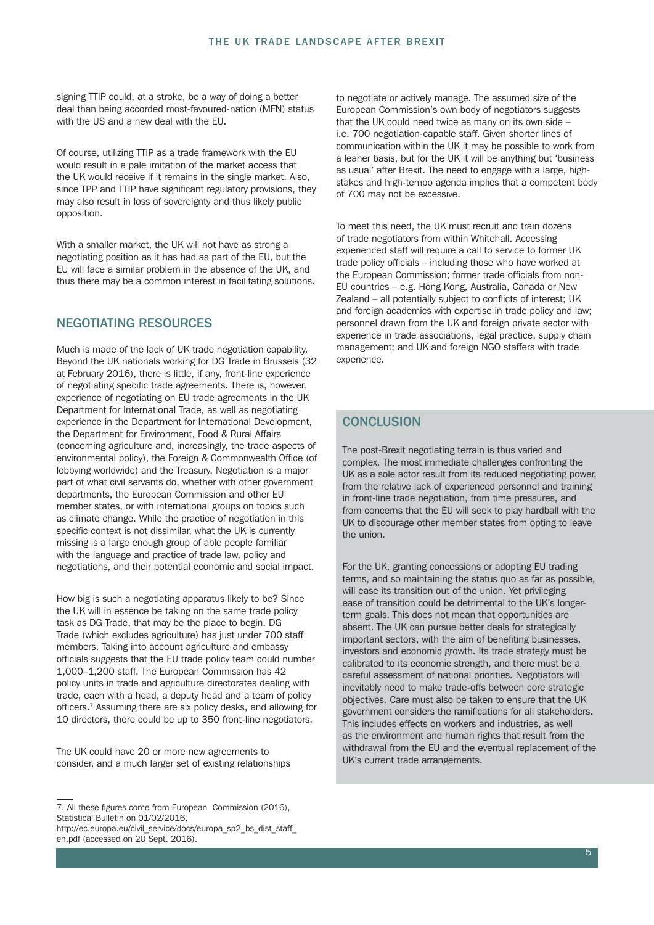signing TTIP could, at a stroke, be a way of doing a better deal than being accorded most-favoured-nation (MFN) status with the US and a new deal with the EU.

Of course, utilizing TTIP as a trade framework with the EU would result in a pale imitation of the market access that the UK would receive if it remains in the single market. Also, since TPP and TTIP have significant regulatory provisions, they may also result in loss of sovereignty and thus likely public opposition.

With a smaller market, the UK will not have as strong a negotiating position as it has had as part of the EU, but the EU will face a similar problem in the absence of the UK, and thus there may be a common interest in facilitating solutions.

#### NEGOTIATING RESOURCES

Much is made of the lack of UK trade negotiation capability. Beyond the UK nationals working for DG Trade in Brussels (32 at February 2016), there is little, if any, front-line experience of negotiating specific trade agreements. There is, however, experience of negotiating on EU trade agreements in the UK Department for International Trade, as well as negotiating experience in the Department for International Development, the Department for Environment, Food & Rural Affairs (concerning agriculture and, increasingly, the trade aspects of environmental policy), the Foreign & Commonwealth Office (of lobbying worldwide) and the Treasury. Negotiation is a major part of what civil servants do, whether with other government departments, the European Commission and other EU member states, or with international groups on topics such as climate change. While the practice of negotiation in this specific context is not dissimilar, what the UK is currently missing is a large enough group of able people familiar with the language and practice of trade law, policy and negotiations, and their potential economic and social impact.

How big is such a negotiating apparatus likely to be? Since the UK will in essence be taking on the same trade policy task as DG Trade, that may be the place to begin. DG Trade (which excludes agriculture) has just under 700 staff members. Taking into account agriculture and embassy officials suggests that the EU trade policy team could number 1,000–1,200 staff. The European Commission has 42 policy units in trade and agriculture directorates dealing with trade, each with a head, a deputy head and a team of policy officers.<sup>7</sup> Assuming there are six policy desks, and allowing for 10 directors, there could be up to 350 front-line negotiators.

The UK could have 20 or more new agreements to consider, and a much larger set of existing relationships

http://ec.europa.eu/civil\_service/docs/europa\_sp2\_bs\_dist\_staff en.pdf (accessed on 20 Sept. 2016).

to negotiate or actively manage. The assumed size of the European Commission's own body of negotiators suggests that the UK could need twice as many on its own side – i.e. 700 negotiation-capable staff. Given shorter lines of communication within the UK it may be possible to work from a leaner basis, but for the UK it will be anything but 'business as usual' after Brexit. The need to engage with a large, highstakes and high-tempo agenda implies that a competent body of 700 may not be excessive.

To meet this need, the UK must recruit and train dozens of trade negotiators from within Whitehall. Accessing experienced staff will require a call to service to former UK trade policy officials – including those who have worked at the European Commission; former trade officials from non-EU countries – e.g. Hong Kong, Australia, Canada or New Zealand – all potentially subject to conflicts of interest; UK and foreign academics with expertise in trade policy and law; personnel drawn from the UK and foreign private sector with experience in trade associations, legal practice, supply chain management; and UK and foreign NGO staffers with trade experience.

## **CONCLUSION**

The post-Brexit negotiating terrain is thus varied and complex. The most immediate challenges confronting the UK as a sole actor result from its reduced negotiating power, from the relative lack of experienced personnel and training in front-line trade negotiation, from time pressures, and from concerns that the EU will seek to play hardball with the UK to discourage other member states from opting to leave the union.

For the UK, granting concessions or adopting EU trading terms, and so maintaining the status quo as far as possible, will ease its transition out of the union. Yet privileging ease of transition could be detrimental to the UK's longerterm goals. This does not mean that opportunities are absent. The UK can pursue better deals for strategically important sectors, with the aim of benefiting businesses, investors and economic growth. Its trade strategy must be calibrated to its economic strength, and there must be a careful assessment of national priorities. Negotiators will inevitably need to make trade-offs between core strategic objectives. Care must also be taken to ensure that the UK government considers the ramifications for all stakeholders. This includes effects on workers and industries, as well as the environment and human rights that result from the withdrawal from the EU and the eventual replacement of the UK's current trade arrangements.

<sup>7.</sup> All these figures come from European Commission (2016), Statistical Bulletin on 01/02/2016.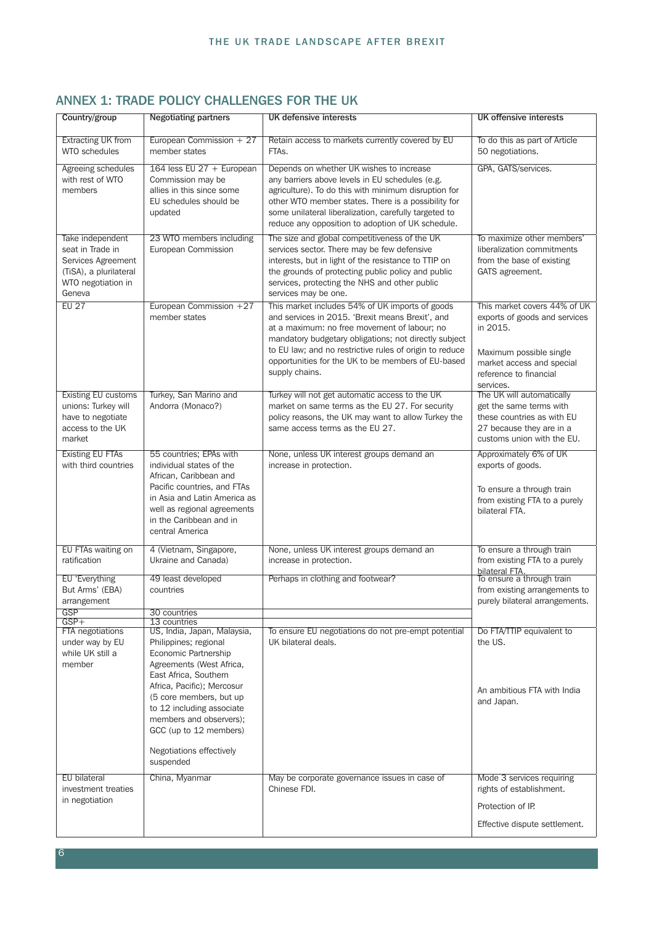| Country/group                                                                                                        | <b>Negotiating partners</b>                                                                                                                                                                                                                                                                                           | UK defensive interests                                                                                                                                                                                                                                                                                                                          | <b>UK offensive interests</b>                                                                                                                                            |
|----------------------------------------------------------------------------------------------------------------------|-----------------------------------------------------------------------------------------------------------------------------------------------------------------------------------------------------------------------------------------------------------------------------------------------------------------------|-------------------------------------------------------------------------------------------------------------------------------------------------------------------------------------------------------------------------------------------------------------------------------------------------------------------------------------------------|--------------------------------------------------------------------------------------------------------------------------------------------------------------------------|
| <b>Extracting UK from</b><br><b>WTO</b> schedules                                                                    | European Commission + 27<br>member states                                                                                                                                                                                                                                                                             | Retain access to markets currently covered by EU<br>FTAs.                                                                                                                                                                                                                                                                                       | To do this as part of Article<br>50 negotiations.                                                                                                                        |
| Agreeing schedules<br>with rest of WTO<br>members                                                                    | 164 less EU 27 + European<br>Commission may be<br>allies in this since some<br>EU schedules should be<br>updated                                                                                                                                                                                                      | Depends on whether UK wishes to increase<br>any barriers above levels in EU schedules (e.g.<br>agriculture). To do this with minimum disruption for<br>other WTO member states. There is a possibility for<br>some unilateral liberalization, carefully targeted to<br>reduce any opposition to adoption of UK schedule.                        | GPA, GATS/services.                                                                                                                                                      |
| Take independent<br>seat in Trade in<br>Services Agreement<br>(TiSA), a plurilateral<br>WTO negotiation in<br>Geneva | 23 WTO members including<br>European Commission                                                                                                                                                                                                                                                                       | The size and global competitiveness of the UK<br>services sector. There may be few defensive<br>interests, but in light of the resistance to TTIP on<br>the grounds of protecting public policy and public<br>services, protecting the NHS and other public<br>services may be one.                                                             | To maximize other members'<br>liberalization commitments<br>from the base of existing<br>GATS agreement.                                                                 |
| <b>EU 27</b>                                                                                                         | European Commission +27<br>member states                                                                                                                                                                                                                                                                              | This market includes 54% of UK imports of goods<br>and services in 2015. 'Brexit means Brexit', and<br>at a maximum: no free movement of labour; no<br>mandatory budgetary obligations; not directly subject<br>to EU law; and no restrictive rules of origin to reduce<br>opportunities for the UK to be members of EU-based<br>supply chains. | This market covers 44% of UK<br>exports of goods and services<br>in 2015.<br>Maximum possible single<br>market access and special<br>reference to financial<br>services. |
| <b>Existing EU customs</b><br>unions: Turkey will<br>have to negotiate<br>access to the UK<br>market                 | Turkey, San Marino and<br>Andorra (Monaco?)                                                                                                                                                                                                                                                                           | Turkey will not get automatic access to the UK<br>market on same terms as the EU 27. For security<br>policy reasons, the UK may want to allow Turkey the<br>same access terms as the EU 27.                                                                                                                                                     | The UK will automatically<br>get the same terms with<br>these countries as with EU<br>27 because they are in a<br>customs union with the EU.                             |
| <b>Existing EU FTAs</b><br>with third countries                                                                      | 55 countries; EPAs with<br>individual states of the<br>African, Caribbean and<br>Pacific countries, and FTAs<br>in Asia and Latin America as<br>well as regional agreements<br>in the Caribbean and in<br>central America                                                                                             | None, unless UK interest groups demand an<br>increase in protection.                                                                                                                                                                                                                                                                            | Approximately 6% of UK<br>exports of goods.<br>To ensure a through train<br>from existing FTA to a purely<br>bilateral FTA.                                              |
| EU FTAs waiting on<br>ratification                                                                                   | 4 (Vietnam, Singapore,<br>Ukraine and Canada)                                                                                                                                                                                                                                                                         | None, unless UK interest groups demand an<br>increase in protection.                                                                                                                                                                                                                                                                            | To ensure a through train<br>from existing FTA to a purely<br>bilateral FTA.                                                                                             |
| EU 'Everything<br>But Arms' (EBA)<br>arrangement<br><b>GSP</b>                                                       | 49 least developed<br>countries<br>30 countries                                                                                                                                                                                                                                                                       | Perhaps in clothing and footwear?                                                                                                                                                                                                                                                                                                               | To ensure a through train<br>from existing arrangements to<br>purely bilateral arrangements.                                                                             |
| $GSP+$                                                                                                               | 13 countries                                                                                                                                                                                                                                                                                                          |                                                                                                                                                                                                                                                                                                                                                 |                                                                                                                                                                          |
| FTA negotiations<br>under way by EU<br>while UK still a<br>member                                                    | US, India, Japan, Malaysia,<br>Philippines; regional<br>Economic Partnership<br>Agreements (West Africa,<br>East Africa, Southern<br>Africa, Pacific); Mercosur<br>(5 core members, but up<br>to 12 including associate<br>members and observers);<br>GCC (up to 12 members)<br>Negotiations effectively<br>suspended | To ensure EU negotiations do not pre-empt potential<br>UK bilateral deals.                                                                                                                                                                                                                                                                      | Do FTA/TTIP equivalent to<br>the US.<br>An ambitious FTA with India<br>and Japan.                                                                                        |
| EU bilateral<br>investment treaties<br>in negotiation                                                                | China, Myanmar                                                                                                                                                                                                                                                                                                        | May be corporate governance issues in case of<br>Chinese FDI.                                                                                                                                                                                                                                                                                   | Mode 3 services requiring<br>rights of establishment.<br>Protection of IP.<br>Effective dispute settlement.                                                              |

## ANNEX 1: TRADE POLICY CHALLENGES FOR THE UK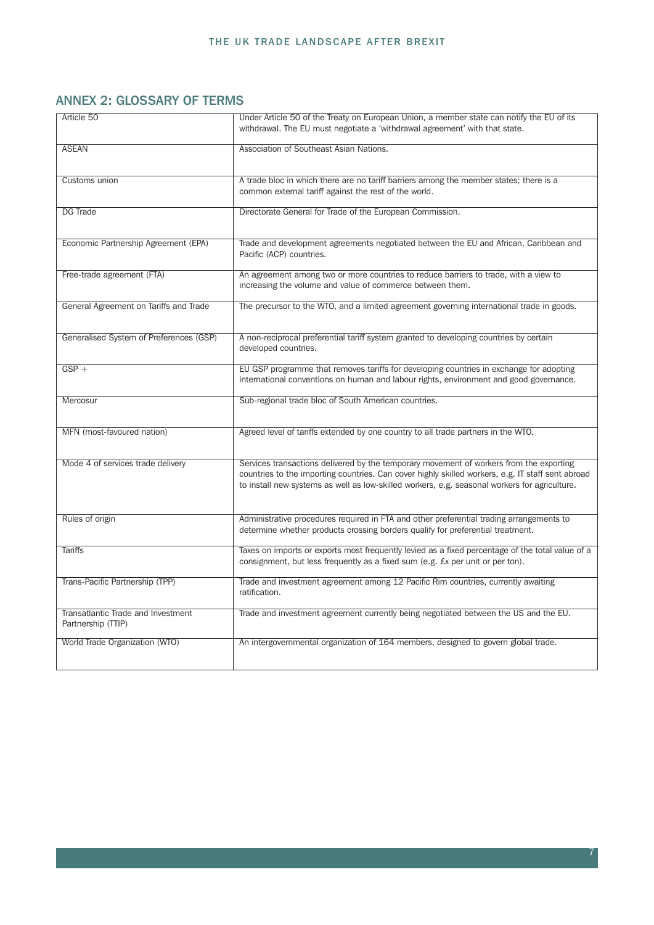## ANNEX 2: GLOSSARY OF TERMS

| Article 50                                               | Under Article 50 of the Treaty on European Union, a member state can notify the EU of its                                                                                                                                                                                                     |
|----------------------------------------------------------|-----------------------------------------------------------------------------------------------------------------------------------------------------------------------------------------------------------------------------------------------------------------------------------------------|
|                                                          | withdrawal. The EU must negotiate a 'withdrawal agreement' with that state.                                                                                                                                                                                                                   |
| <b>ASEAN</b>                                             | Association of Southeast Asian Nations.                                                                                                                                                                                                                                                       |
| Customs union                                            | A trade bloc in which there are no tariff barriers among the member states; there is a<br>common external tariff against the rest of the world.                                                                                                                                               |
| <b>DG Trade</b>                                          | Directorate General for Trade of the European Commission.                                                                                                                                                                                                                                     |
| Economic Partnership Agreement (EPA)                     | Trade and development agreements negotiated between the EU and African, Caribbean and<br>Pacific (ACP) countries.                                                                                                                                                                             |
| Free-trade agreement (FTA)                               | An agreement among two or more countries to reduce barriers to trade, with a view to<br>increasing the volume and value of commerce between them.                                                                                                                                             |
| General Agreement on Tariffs and Trade                   | The precursor to the WTO, and a limited agreement governing international trade in goods.                                                                                                                                                                                                     |
| Generalised System of Preferences (GSP)                  | A non-reciprocal preferential tariff system granted to developing countries by certain<br>developed countries.                                                                                                                                                                                |
| $GSP +$                                                  | EU GSP programme that removes tariffs for developing countries in exchange for adopting<br>international conventions on human and labour rights, environment and good governance.                                                                                                             |
| Mercosur                                                 | Sub-regional trade bloc of South American countries.                                                                                                                                                                                                                                          |
| MFN (most-favoured nation)                               | Agreed level of tariffs extended by one country to all trade partners in the WTO.                                                                                                                                                                                                             |
| Mode 4 of services trade delivery                        | Services transactions delivered by the temporary movement of workers from the exporting<br>countries to the importing countries. Can cover highly skilled workers, e.g. IT staff sent abroad<br>to install new systems as well as low-skilled workers, e.g. seasonal workers for agriculture. |
| Rules of origin                                          | Administrative procedures required in FTA and other preferential trading arrangements to<br>determine whether products crossing borders qualify for preferential treatment.                                                                                                                   |
| <b>Tariffs</b>                                           | Taxes on imports or exports most frequently levied as a fixed percentage of the total value of a<br>consignment, but less frequently as a fixed sum (e.g. £x per unit or per ton).                                                                                                            |
| Trans-Pacific Partnership (TPP)                          | Trade and investment agreement among 12 Pacific Rim countries, currently awaiting<br>ratification.                                                                                                                                                                                            |
| Transatlantic Trade and Investment<br>Partnership (TTIP) | Trade and investment agreement currently being negotiated between the US and the EU.                                                                                                                                                                                                          |
| World Trade Organization (WTO)                           | An intergovernmental organization of 164 members, designed to govern global trade.                                                                                                                                                                                                            |

7